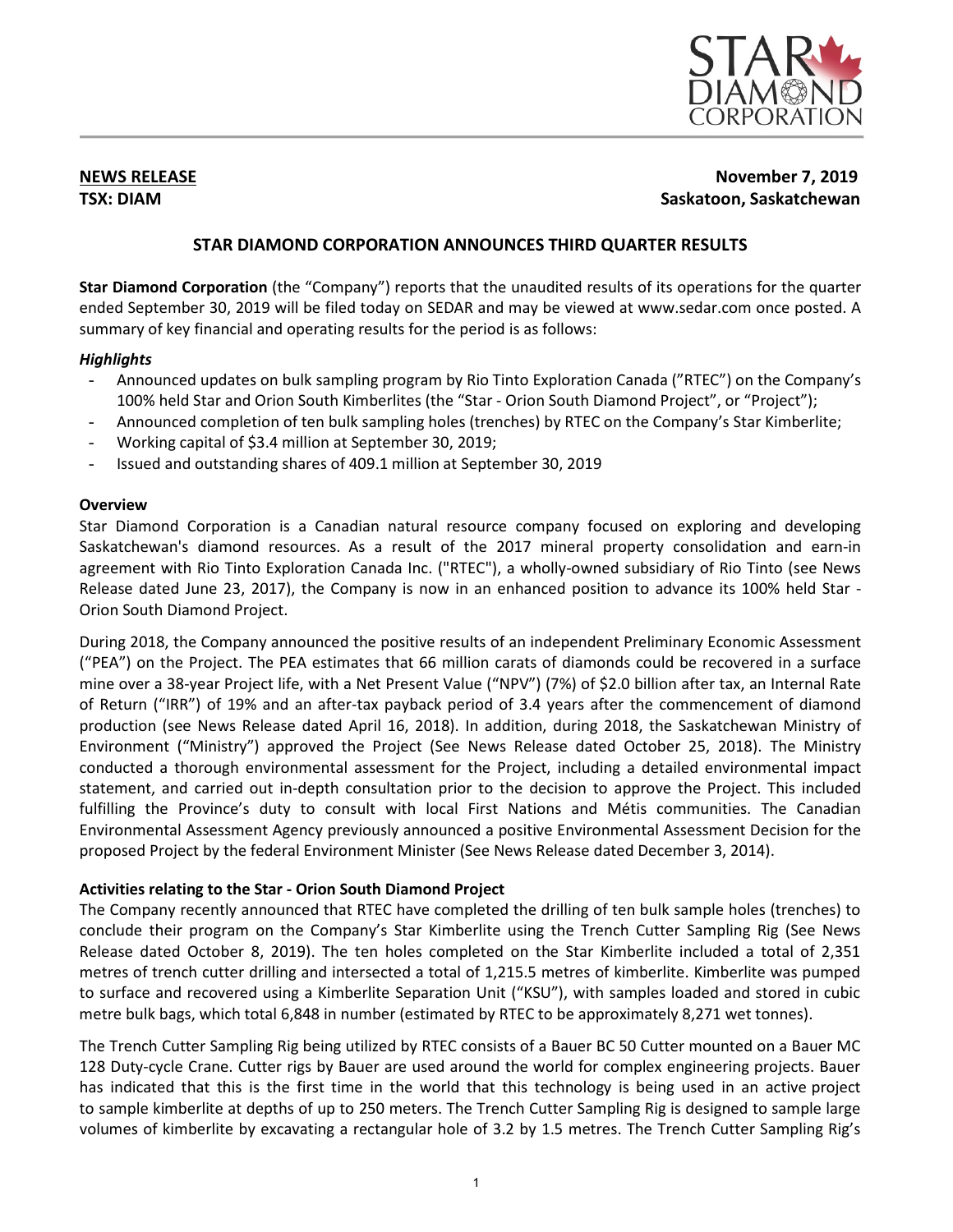

# **NEWS RELEASE November 7, 2019 TSX: DIAM Saskatoon, Saskatchewan**

# **STAR DIAMOND CORPORATION ANNOUNCES THIRD QUARTER RESULTS**

**Star Diamond Corporation** (the "Company") reports that the unaudited results of its operations for the quarter ended September 30, 2019 will be filed today on SEDAR and may be viewed at www.sedar.com once posted. A summary of key financial and operating results for the period is as follows:

# *Highlights*

- Announced updates on bulk sampling program by Rio Tinto Exploration Canada ("RTEC") on the Company's 100% held Star and Orion South Kimberlites (the "Star - Orion South Diamond Project", or "Project");
- Announced completion of ten bulk sampling holes (trenches) by RTEC on the Company's Star Kimberlite;
- Working capital of \$3.4 million at September 30, 2019;
- Issued and outstanding shares of 409.1 million at September 30, 2019

# **Overview**

Star Diamond Corporation is a Canadian natural resource company focused on exploring and developing Saskatchewan's diamond resources. As a result of the 2017 mineral property consolidation and earn-in agreement with Rio Tinto Exploration Canada Inc. ("RTEC"), a wholly-owned subsidiary of Rio Tinto (see News Release dated June 23, 2017), the Company is now in an enhanced position to advance its 100% held Star - Orion South Diamond Project.

During 2018, the Company announced the positive results of an independent Preliminary Economic Assessment ("PEA") on the Project. The PEA estimates that 66 million carats of diamonds could be recovered in a surface mine over a 38-year Project life, with a Net Present Value ("NPV") (7%) of \$2.0 billion after tax, an Internal Rate of Return ("IRR") of 19% and an after-tax payback period of 3.4 years after the commencement of diamond production (see News Release dated April 16, 2018). In addition, during 2018, the Saskatchewan Ministry of Environment ("Ministry") approved the Project (See News Release dated October 25, 2018). The Ministry conducted a thorough environmental assessment for the Project, including a detailed environmental impact statement, and carried out in-depth consultation prior to the decision to approve the Project. This included fulfilling the Province's duty to consult with local First Nations and Métis communities. The Canadian Environmental Assessment Agency previously announced a positive Environmental Assessment Decision for the proposed Project by the federal Environment Minister (See News Release dated December 3, 2014).

# **Activities relating to the Star - Orion South Diamond Project**

The Company recently announced that RTEC have completed the drilling of ten bulk sample holes (trenches) to conclude their program on the Company's Star Kimberlite using the Trench Cutter Sampling Rig (See News Release dated October 8, 2019). The ten holes completed on the Star Kimberlite included a total of 2,351 metres of trench cutter drilling and intersected a total of 1,215.5 metres of kimberlite. Kimberlite was pumped to surface and recovered using a Kimberlite Separation Unit ("KSU"), with samples loaded and stored in cubic metre bulk bags, which total 6,848 in number (estimated by RTEC to be approximately 8,271 wet tonnes).

The Trench Cutter Sampling Rig being utilized by RTEC consists of a Bauer BC 50 Cutter mounted on a Bauer MC 128 Duty-cycle Crane. Cutter rigs by Bauer are used around the world for complex engineering projects. Bauer has indicated that this is the first time in the world that this technology is being used in an active project to sample kimberlite at depths of up to 250 meters. The Trench Cutter Sampling Rig is designed to sample large volumes of kimberlite by excavating a rectangular hole of 3.2 by 1.5 metres. The Trench Cutter Sampling Rig's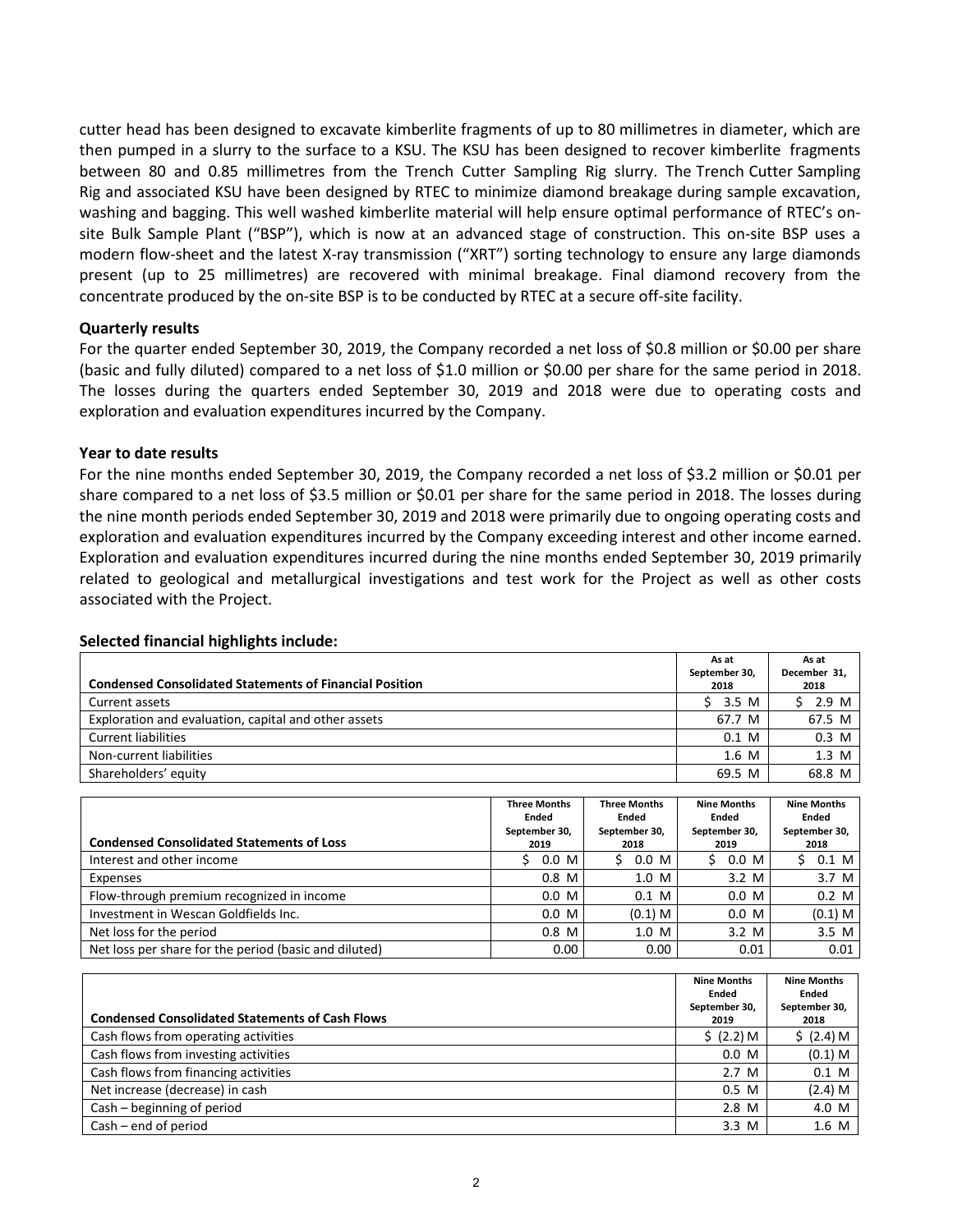cutter head has been designed to excavate kimberlite fragments of up to 80 millimetres in diameter, which are then pumped in a slurry to the surface to a KSU. The KSU has been designed to recover kimberlite fragments between 80 and 0.85 millimetres from the Trench Cutter Sampling Rig slurry. The Trench Cutter Sampling Rig and associated KSU have been designed by RTEC to minimize diamond breakage during sample excavation, washing and bagging. This well washed kimberlite material will help ensure optimal performance of RTEC's onsite Bulk Sample Plant ("BSP"), which is now at an advanced stage of construction. This on-site BSP uses a modern flow-sheet and the latest X-ray transmission ("XRT") sorting technology to ensure any large diamonds present (up to 25 millimetres) are recovered with minimal breakage. Final diamond recovery from the concentrate produced by the on-site BSP is to be conducted by RTEC at a secure off-site facility.

### **Quarterly results**

For the quarter ended September 30, 2019, the Company recorded a net loss of \$0.8 million or \$0.00 per share (basic and fully diluted) compared to a net loss of \$1.0 million or \$0.00 per share for the same period in 2018. The losses during the quarters ended September 30, 2019 and 2018 were due to operating costs and exploration and evaluation expenditures incurred by the Company.

# **Year to date results**

For the nine months ended September 30, 2019, the Company recorded a net loss of \$3.2 million or \$0.01 per share compared to a net loss of \$3.5 million or \$0.01 per share for the same period in 2018. The losses during the nine month periods ended September 30, 2019 and 2018 were primarily due to ongoing operating costs and exploration and evaluation expenditures incurred by the Company exceeding interest and other income earned. Exploration and evaluation expenditures incurred during the nine months ended September 30, 2019 primarily related to geological and metallurgical investigations and test work for the Project as well as other costs associated with the Project.

|                                                                | As at         | As at        |
|----------------------------------------------------------------|---------------|--------------|
| <b>Condensed Consolidated Statements of Financial Position</b> | September 30, | December 31, |
|                                                                | 2018          | 2018         |
| Current assets                                                 | 3.5 M         | 2.9 M        |
| Exploration and evaluation, capital and other assets           | 67.7 M        | 67.5 M       |
| <b>Current liabilities</b>                                     | $0.1$ M       | $0.3$ M      |
| Non-current liabilities                                        | $1.6$ M       | 1.3 M        |
| Shareholders' equity                                           | 69.5 M        | 68.8 M       |

### **Selected financial highlights include:**

| <b>Condensed Consolidated Statements of Loss</b>      | <b>Three Months</b><br>Ended<br>September 30,<br>2019 | <b>Three Months</b><br>Ended<br>September 30,<br>2018 | <b>Nine Months</b><br><b>Ended</b><br>September 30,<br>2019 | <b>Nine Months</b><br>Ended<br>September 30,<br>2018 |
|-------------------------------------------------------|-------------------------------------------------------|-------------------------------------------------------|-------------------------------------------------------------|------------------------------------------------------|
| Interest and other income                             | $0.0\,$ M                                             | 0.0 M<br>S                                            | $0.0\,$ M                                                   | $0.1 \, M$                                           |
| Expenses                                              | $0.8$ M                                               | 1.0 M                                                 | $3.2 \, M$                                                  | $3.7 \text{ M}$                                      |
| Flow-through premium recognized in income             | $0.0\,$ M                                             | $0.1$ M                                               | $0.0\,$ M                                                   | $0.2$ M                                              |
| Investment in Wescan Goldfields Inc.                  | 0.0 M                                                 | $(0.1)$ M                                             | $0.0\,$ M                                                   | $(0.1)$ M                                            |
| Net loss for the period                               | $0.8$ M                                               | 1.0 M                                                 | $3.2 \, M$                                                  | $3.5$ M                                              |
| Net loss per share for the period (basic and diluted) | 0.00                                                  | 0.00                                                  | 0.01                                                        | 0.01                                                 |

| <b>Condensed Consolidated Statements of Cash Flows</b> | <b>Nine Months</b><br>Ended<br>September 30,<br>2019 | <b>Nine Months</b><br><b>Ended</b><br>September 30,<br>2018 |
|--------------------------------------------------------|------------------------------------------------------|-------------------------------------------------------------|
| Cash flows from operating activities                   | \$ (2.2) M\$                                         | \$ (2.4) M\$                                                |
| Cash flows from investing activities                   | $0.0\,$ M                                            | $(0.1)$ M                                                   |
| Cash flows from financing activities                   | 2.7 <sub>M</sub>                                     | $0.1$ M                                                     |
| Net increase (decrease) in cash                        | 0.5 M                                                | (2.4) M                                                     |
| Cash - beginning of period                             | $2.8$ M                                              | 4.0 M                                                       |
| $Cash - end of period$                                 | $3.3 \, M$                                           | 1.6 M                                                       |